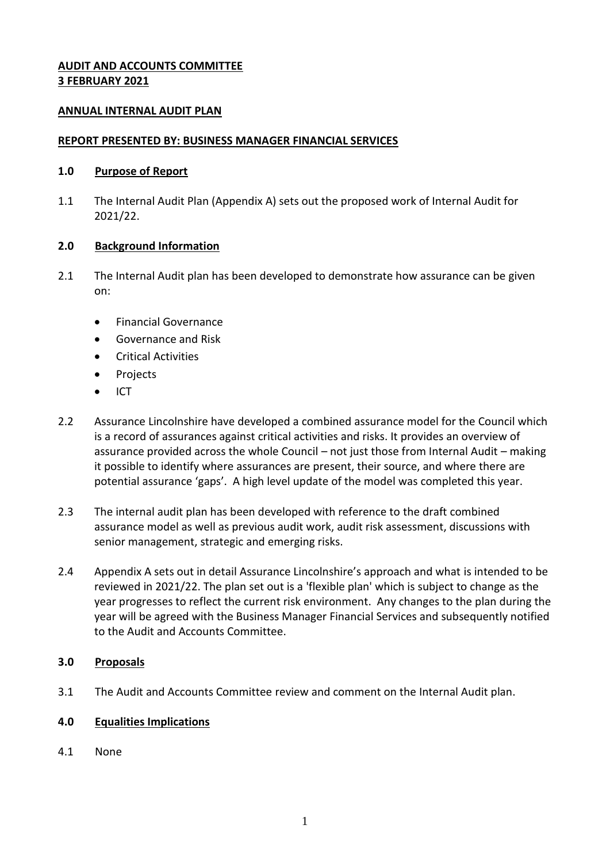## **AUDIT AND ACCOUNTS COMMITTEE 3 FEBRUARY 2021**

#### **ANNUAL INTERNAL AUDIT PLAN**

#### **REPORT PRESENTED BY: BUSINESS MANAGER FINANCIAL SERVICES**

#### **1.0 Purpose of Report**

1.1 The Internal Audit Plan (Appendix A) sets out the proposed work of Internal Audit for 2021/22.

#### **2.0 Background Information**

- 2.1 The Internal Audit plan has been developed to demonstrate how assurance can be given on:
	- Financial Governance
	- Governance and Risk
	- Critical Activities
	- Projects
	- $\bullet$  ICT
- 2.2 Assurance Lincolnshire have developed a combined assurance model for the Council which is a record of assurances against critical activities and risks. It provides an overview of assurance provided across the whole Council – not just those from Internal Audit – making it possible to identify where assurances are present, their source, and where there are potential assurance 'gaps'. A high level update of the model was completed this year.
- 2.3 The internal audit plan has been developed with reference to the draft combined assurance model as well as previous audit work, audit risk assessment, discussions with senior management, strategic and emerging risks.
- 2.4 Appendix A sets out in detail Assurance Lincolnshire's approach and what is intended to be reviewed in 2021/22. The plan set out is a 'flexible plan' which is subject to change as the year progresses to reflect the current risk environment. Any changes to the plan during the year will be agreed with the Business Manager Financial Services and subsequently notified to the Audit and Accounts Committee.

## **3.0 Proposals**

3.1 The Audit and Accounts Committee review and comment on the Internal Audit plan.

## **4.0 Equalities Implications**

4.1 None